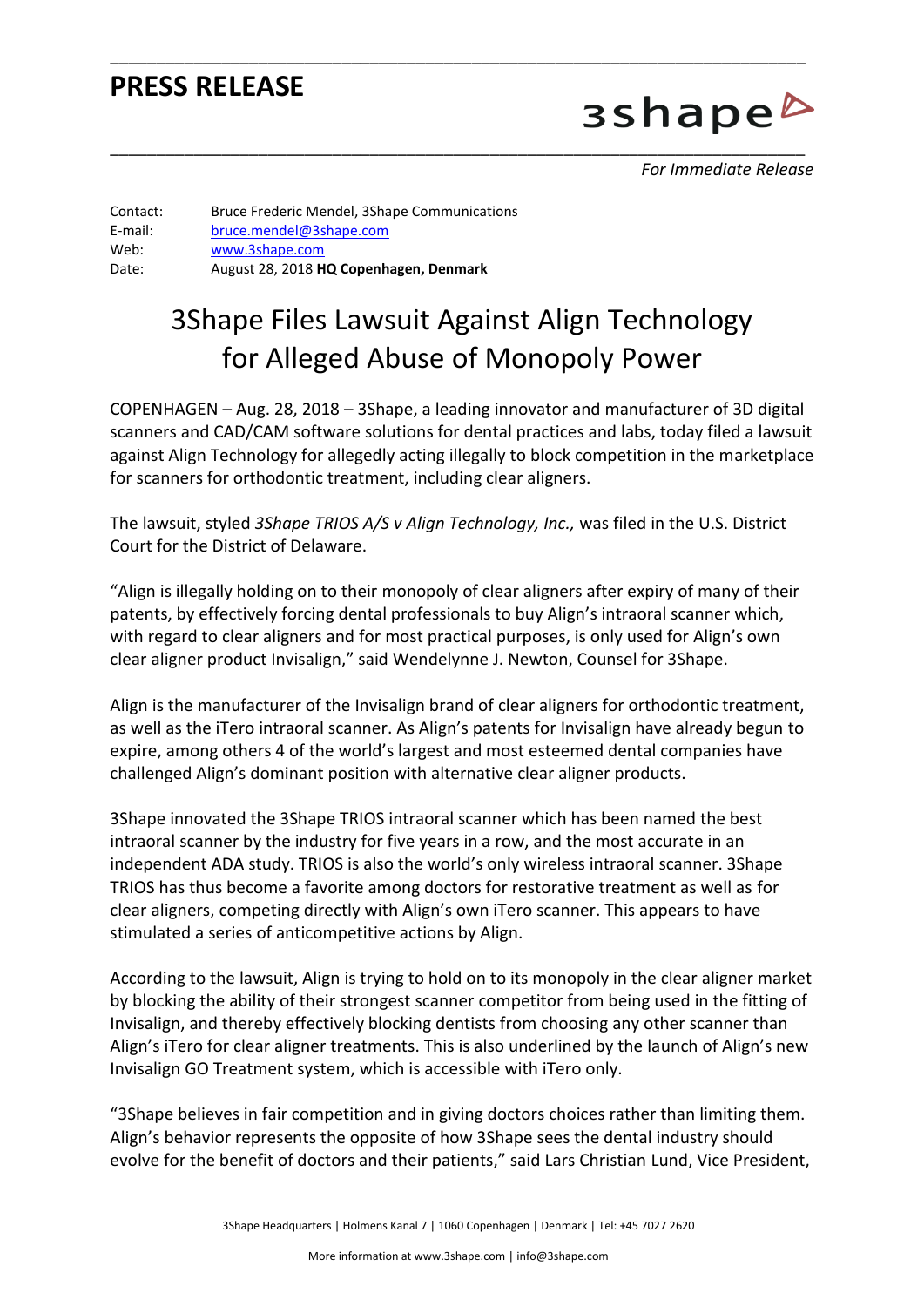### **PRESS RELEASE**

3shape<sup>b</sup>

*For Immediate Release* 

Contact: Bruce Frederic Mendel, 3Shape Communications E-mail: [bruce.mendel@3shape.com](mailto:bruce.mendel@3shape.com) Web: [www.3shape.com](http://www.3shape.com/) Date: August 28, 2018 **HQ Copenhagen, Denmark**

## 3Shape Files Lawsuit Against Align Technology for Alleged Abuse of Monopoly Power

\_\_\_\_\_\_\_\_\_\_\_\_\_\_\_\_\_\_\_\_\_\_\_\_\_\_\_\_\_\_\_\_\_\_\_\_\_\_\_\_\_\_\_\_\_\_\_\_\_\_\_\_\_\_\_\_\_\_\_\_\_\_\_\_\_\_\_\_\_\_\_\_\_\_\_

\_\_\_\_\_\_\_\_\_\_\_\_\_\_\_\_\_\_\_\_\_\_\_\_\_\_\_\_\_\_\_\_\_\_\_\_\_\_\_\_\_\_\_\_\_\_\_\_\_\_\_\_\_\_\_\_\_\_\_\_\_\_\_\_\_\_\_\_\_\_\_\_\_\_\_

COPENHAGEN – Aug. 28, 2018 – 3Shape, a leading innovator and manufacturer of 3D digital scanners and CAD/CAM software solutions for dental practices and labs, today filed a lawsuit against Align Technology for allegedly acting illegally to block competition in the marketplace for scanners for orthodontic treatment, including clear aligners.

The lawsuit, styled *3Shape TRIOS A/S v Align Technology, Inc.,* was filed in the U.S. District Court for the District of Delaware.

"Align is illegally holding on to their monopoly of clear aligners after expiry of many of their patents, by effectively forcing dental professionals to buy Align's intraoral scanner which, with regard to clear aligners and for most practical purposes, is only used for Align's own clear aligner product Invisalign," said Wendelynne J. Newton, Counsel for 3Shape.

Align is the manufacturer of the Invisalign brand of clear aligners for orthodontic treatment, as well as the iTero intraoral scanner. As Align's patents for Invisalign have already begun to expire, among others 4 of the world's largest and most esteemed dental companies have challenged Align's dominant position with alternative clear aligner products.

3Shape innovated the 3Shape TRIOS intraoral scanner which has been named the best intraoral scanner by the industry for five years in a row, and the most accurate in an independent ADA study. TRIOS is also the world's only wireless intraoral scanner. 3Shape TRIOS has thus become a favorite among doctors for restorative treatment as well as for clear aligners, competing directly with Align's own iTero scanner. This appears to have stimulated a series of anticompetitive actions by Align.

According to the lawsuit, Align is trying to hold on to its monopoly in the clear aligner market by blocking the ability of their strongest scanner competitor from being used in the fitting of Invisalign, and thereby effectively blocking dentists from choosing any other scanner than Align's iTero for clear aligner treatments. This is also underlined by the launch of Align's new Invisalign GO Treatment system, which is accessible with iTero only.

"3Shape believes in fair competition and in giving doctors choices rather than limiting them. Align's behavior represents the opposite of how 3Shape sees the dental industry should evolve for the benefit of doctors and their patients," said Lars Christian Lund, Vice President,